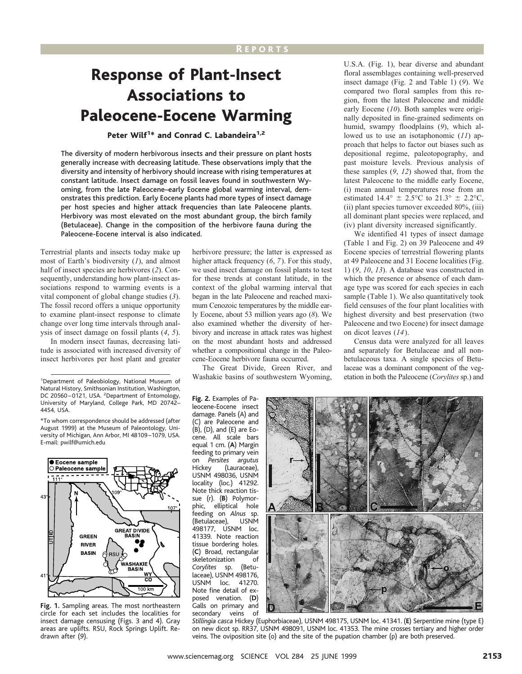# Response of Plant-Insect Associations to Paleocene-Eocene Warming

## Peter Wilf<sup>1\*</sup> and Conrad C. Labandeira<sup>1,2</sup>

The diversity of modern herbivorous insects and their pressure on plant hosts generally increase with decreasing latitude. These observations imply that the diversity and intensity of herbivory should increase with rising temperatures at constant latitude. Insect damage on fossil leaves found in southwestern Wyoming, from the late Paleocene–early Eocene global warming interval, demonstrates this prediction. Early Eocene plants had more types of insect damage per host species and higher attack frequencies than late Paleocene plants. Herbivory was most elevated on the most abundant group, the birch family (Betulaceae). Change in the composition of the herbivore fauna during the Paleocene-Eocene interval is also indicated.

Terrestrial plants and insects today make up most of Earth's biodiversity (*1*), and almost half of insect species are herbivores (*2*). Consequently, understanding how plant-insect associations respond to warming events is a vital component of global change studies (*3*). The fossil record offers a unique opportunity to examine plant-insect response to climate change over long time intervals through analysis of insect damage on fossil plants (*4*, *5*).

In modern insect faunas, decreasing latitude is associated with increased diversity of insect herbivores per host plant and greater

Natural History, Smithsonian Institution, Washington, DC 20560-0121, USA. <sup>2</sup>Department of Entomology, University of Maryland, College Park, MD 20742– 4454, USA.





**Fig. 1.** Sampling areas. The most northeastern circle for each set includes the localities for insect damage censusing (Figs. 3 and 4). Gray areas are uplifts. RSU, Rock Springs Uplift. Redrawn after (*9*).

herbivore pressure; the latter is expressed as higher attack frequency (*6*, *7*). For this study, we used insect damage on fossil plants to test for these trends at constant latitude, in the context of the global warming interval that began in the late Paleocene and reached maximum Cenozoic temperatures by the middle early Eocene, about 53 million years ago (*8*). We also examined whether the diversity of herbivory and increase in attack rates was highest on the most abundant hosts and addressed whether a compositional change in the Paleocene-Eocene herbivore fauna occurred.

The Great Divide, Green River, and Washakie basins of southwestern Wyoming, <sup>1</sup> Department of Paleobiology, National Museum of Washakie basins of southwestern Wyoming, etation in both the Paleocene (*Corylites* sp.) and

> **Fig. 2.** Examples of Paleocene-Eocene insect damage. Panels (A) and are Paleocene and  $(B)$ ,  $(D)$ , and  $(E)$  are Eocene. All scale bars equal 1 cm. (**A**) Margin feeding to primary vein on *Persites argutus* (Lauraceae), USNM 498036, USNM locality (loc.) 41292. Note thick reaction tissue (r). (**B**) Polymorphic, elliptical hole feeding on *Alnus* sp. (Betulaceae), 498177, USNM loc. 41339. Note reaction tissue bordering holes. (**C**) Broad, rectangular skeletonization of<br>Corylites sp. (Betu-*Corylites* sp. laceae), USNM 498176, USNM loc. 41270. Note fine detail of exposed venation. (**D**) Galls on primary and secondary veins of

U.S.A. (Fig. 1), bear diverse and abundant floral assemblages containing well-preserved insect damage (Fig. 2 and Table 1) (*9*). We compared two floral samples from this region, from the latest Paleocene and middle early Eocene (*10*). Both samples were originally deposited in fine-grained sediments on humid, swampy floodplains (*9*), which allowed us to use an isotaphonomic (*11*) approach that helps to factor out biases such as depositional regime, paleotopography, and past moisture levels. Previous analysis of these samples (*9*, *12*) showed that, from the latest Paleocene to the middle early Eocene, (i) mean annual temperatures rose from an estimated 14.4°  $\pm$  2.5°C to 21.3°  $\pm$  2.2°C, (ii) plant species turnover exceeded 80%, (iii) all dominant plant species were replaced, and (iv) plant diversity increased significantly.

We identified 41 types of insect damage (Table 1 and Fig. 2) on 39 Paleocene and 49 Eocene species of terrestrial flowering plants at 49 Paleocene and 31 Eocene localities (Fig. 1) (*9*, *10*, *13*). A database was constructed in which the presence or absence of each damage type was scored for each species in each sample (Table 1). We also quantitatively took field censuses of the four plant localities with highest diversity and best preservation (two Paleocene and two Eocene) for insect damage on dicot leaves (*14*).

Census data were analyzed for all leaves and separately for Betulaceae and all nonbetulaceous taxa. A single species of Betulaceae was a dominant component of the veg-



*Stillingia casca* Hickey (Euphorbiaceae), USNM 498175, USNM loc. 41341. (**E**) Serpentine mine (type E) on new dicot sp. RR37, USNM 498091, USNM loc. 41353. The mine crosses tertiary and higher order veins. The oviposition site (o) and the site of the pupation chamber (p) are both preserved.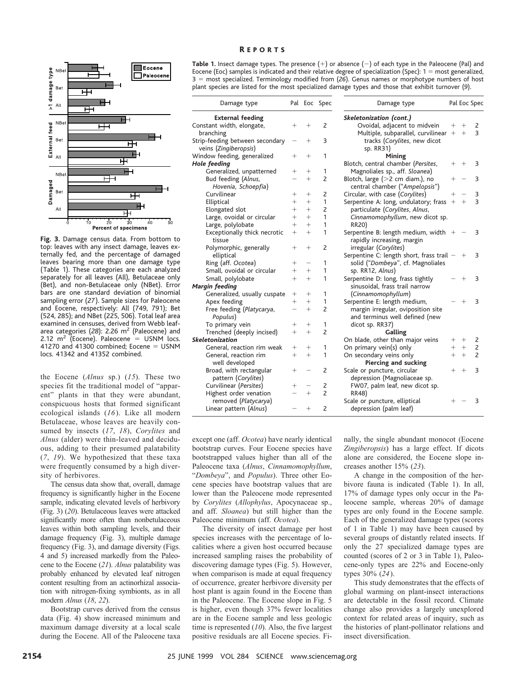

**Fig. 3.** Damage census data. From bottom to top: leaves with any insect damage, leaves externally fed, and the percentage of damaged leaves bearing more than one damage type (Table 1). These categories are each analyzed separately for all leaves (All), Betulaceae only (Bet), and non-Betulaceae only (NBet). Error bars are one standard deviation of binomial sampling error (*27*). Sample sizes for Paleocene and Eocene, respectively: All (749, 791); Bet (524, 285); and NBet (225, 506). Total leaf area examined in censuses, derived from Webb leafarea categories (28): 2.26 m<sup>2</sup> (Paleocene) and 2.12  $m^2$  (Eocene). Paleocene = USNM locs. 41270 and 41300 combined; Eocene  $=$  USNM locs. 41342 and 41352 combined.

the Eocene (*Alnus* sp.) (*15*). These two species fit the traditional model of "apparent" plants in that they were abundant, conspicuous hosts that formed significant ecological islands (*16*). Like all modern Betulaceae, whose leaves are heavily consumed by insects (*17*, *18*), *Corylites* and *Alnus* (alder) were thin-leaved and deciduous, adding to their presumed palatability (*7*, *19*). We hypothesized that these taxa were frequently consumed by a high diversity of herbivores.

The census data show that, overall, damage frequency is significantly higher in the Eocene sample, indicating elevated levels of herbivory (Fig. 3) (*20*). Betulaceous leaves were attacked significantly more often than nonbetulaceous leaves within both sampling levels, and their damage frequency (Fig. 3), multiple damage frequency (Fig. 3), and damage diversity (Figs. 4 and 5) increased markedly from the Paleocene to the Eocene (*21*). *Alnus* palatability was probably enhanced by elevated leaf nitrogen content resulting from an actinorhizal association with nitrogen-fixing symbionts, as in all modern *Alnus* (*18*, *22*).

Bootstrap curves derived from the census data (Fig. 4) show increased minimum and maximum damage diversity at a local scale during the Eocene. All of the Paleocene taxa **Table 1.** Insect damage types. The presence  $(+)$  or absence  $(-)$  of each type in the Paleocene (Pal) and Eocene (Eoc) samples is indicated and their relative degree of specialization (Spec):  $1 =$  most generalized, 3 5 most specialized. Terminology modified from (*26*). Genus names or morphotype numbers of host plant species are listed for the most specialized damage types and those that exhibit turnover (*9*).

| Damage type                     | Pal    | Eoc    | Spec           |              |
|---------------------------------|--------|--------|----------------|--------------|
| <b>External feeding</b>         |        |        |                | <b>Skele</b> |
| Constant width, elongate,       | $^+$   | $^+$   | $\overline{2}$ |              |
| branching                       |        |        |                |              |
| Strip-feeding between secondary |        | $^{+}$ | 3              |              |
| veins (Zingiberopsis)           |        |        |                |              |
| Window feeding, generalized     | $^+$   | $^{+}$ | 1              |              |
| Hole feeding                    |        |        |                | Blotc        |
| Generalized, unpatterned        | $^+$   | $^{+}$ | 1              | Ma           |
| Bud feeding (Alnus,             |        | $^{+}$ | 2              | Blotc        |
| Hovenia, Schoepfia)             |        |        |                | cer          |
| Curvilinear                     | $^{+}$ | $^{+}$ | 2              | Circu        |
| Elliptical                      | $^{+}$ | $^{+}$ | 1              | Serpe        |
| Elongated slot                  | $^{+}$ | $^{+}$ | $\overline{2}$ | par          |
| Large, ovoidal or circular      | $^{+}$ | $^{+}$ | 1              | Cir          |
| Large, polylobate               | $^{+}$ | $^{+}$ | 1              | <b>RR</b>    |
| Exceptionally thick necrotic    | $^{+}$ | $^{+}$ | 1              | Serpe        |
| tissue                          |        |        |                | rap          |
| Polymorphic, generally          | $^+$   | $^{+}$ | 2              | irre         |
| elliptical                      |        |        |                | Serpe        |
| Ring (aff. Ocotea)              | $^+$   |        | 1              | sol          |
| Small, ovoidal or circular      | $^{+}$ | $^{+}$ | 1              | sp.          |
| Small, polylobate               | $^{+}$ | $^{+}$ | 1              | Serpe        |
| Margin feeding                  |        |        |                | sin          |
| Generalized, usually cuspate    | $^+$   | $^{+}$ | 1              | (Ci          |
| Apex feeding                    | $^{+}$ | $^{+}$ | 1              | Serpe        |
| Free feeding (Platycarya,       |        | $^{+}$ | $\overline{2}$ | ma           |
| Populus)                        |        |        |                | an           |
| To primary vein                 | $^+$   | $^+$   | 1              | dic          |
| Trenched (deeply incised)       | $^{+}$ | $^{+}$ | $\overline{2}$ |              |
| Skeletonization                 |        |        |                | On b         |
| General, reaction rim weak      | $^+$   | $^{+}$ | 1              | On p         |
| General, reaction rim           | $^{+}$ | $^{+}$ | 1              | On s         |
| well developed                  |        |        |                |              |
| Broad, with rectangular         | $^{+}$ |        | $\overline{2}$ | Scale        |
| pattern (Corylites)             |        |        |                | de           |
| Curvilinear (Persites)          | $^+$   |        | 2              | FW           |
| Highest order venation          |        | $^{+}$ | $\overline{c}$ | <b>RR</b>    |
| removed (Platycarya)            |        |        |                | Scale        |
| Linear pattern (Alnus)          |        | $^{+}$ | $\overline{2}$ | de           |
|                                 |        |        |                |              |

| Skeletonization (cont.)                                             |        |        |                |
|---------------------------------------------------------------------|--------|--------|----------------|
| Ovoidal, adjacent to midvein                                        | $^{+}$ | $^+$   | 2              |
| Multiple, subparallel, curvilinear                                  | $+$    | $^{+}$ | 3              |
| tracks (Corylites, new dicot                                        |        |        |                |
| sp. RR31)                                                           |        |        |                |
| Mining                                                              |        |        |                |
| Blotch, central chamber (Persites,                                  | $^{+}$ | $^{+}$ | 3              |
| Magnoliales sp., aff. Sloanea)                                      |        |        |                |
| Blotch, large $(>2$ cm diam.), no                                   | $^+$   |        | 3              |
| central chamber ("Ampelopsis")                                      |        |        |                |
| Circular, with case (Corylites)                                     | $^{+}$ |        | 3              |
| Serpentine A: long, undulatory; frass                               | $+ +$  |        | 3              |
| particulate (Corylites, Alnus,                                      |        |        |                |
| Cinnamomophyllum, new dicot sp.                                     |        |        |                |
| <b>RR20)</b>                                                        |        |        |                |
| Serpentine B: length medium, width $+$                              |        |        | 3              |
| rapidly increasing, margin                                          |        |        |                |
| irregular (Corylites)                                               |        |        |                |
| Serpentine C: length short, frass trail                             |        | $^{+}$ | 3              |
| solid ("Dombeya", cf. Magnoliales                                   |        |        |                |
| sp. RR12, Alnus)                                                    |        | $^+$   | 3              |
| Serpentine D: long, frass tightly<br>sinusoidal, frass trail narrow |        |        |                |
| (Cinnamomophyllum)                                                  |        |        |                |
| Serpentine E: length medium,                                        |        | $^+$   | З              |
| margin irregular, oviposition site                                  |        |        |                |
| and terminus well defined (new                                      |        |        |                |
| dicot sp. RR37)                                                     |        |        |                |
| Galling                                                             |        |        |                |
| On blade, other than major veins                                    | $+$    | $^{+}$ | 2              |
| On primary vein(s) only                                             | $+$    | $^{+}$ | 2              |
| On secondary veins only                                             | $^{+}$ | $^{+}$ | $\overline{c}$ |
| <b>Piercing and sucking</b>                                         |        |        |                |
| Scale or puncture, circular                                         | $^{+}$ | $^{+}$ | 3              |
| depression (Magnoliaceae sp.                                        |        |        |                |
| FW07, palm leaf, new dicot sp.                                      |        |        |                |
| <b>RR48)</b>                                                        |        |        |                |
| Scale or puncture, elliptical                                       | $^+$   |        | 3              |
| depression (palm leaf)                                              |        |        |                |

Damage type Pal Eoc Spec

except one (aff. *Ocotea*) have nearly identical bootstrap curves. Four Eocene species have bootstrapped values higher than all of the Paleocene taxa (*Alnus*, *Cinnamomophyllum*, "*Dombeya*", and *Populus*). Three other Eocene species have bootstrap values that are lower than the Paleocene mode represented by *Corylites* (*Allophylus*, Apocynaceae sp., and aff. *Sloanea*) but still higher than the Paleocene minimum (aff. *Ocotea*).

The diversity of insect damage per host species increases with the percentage of localities where a given host occurred because increased sampling raises the probability of discovering damage types (Fig. 5). However, when comparison is made at equal frequency of occurrence, greater herbivore diversity per host plant is again found in the Eocene than in the Paleocene. The Eocene slope in Fig. 5 is higher, even though 37% fewer localities are in the Eocene sample and less geologic time is represented (*10*). Also, the five largest positive residuals are all Eocene species. Fi-

nally, the single abundant monocot (Eocene *Zingiberopsis*) has a large effect. If dicots alone are considered, the Eocene slope increases another 15% (*23*).

A change in the composition of the herbivore fauna is indicated (Table 1). In all, 17% of damage types only occur in the Paleocene sample, whereas 20% of damage types are only found in the Eocene sample. Each of the generalized damage types (scores of 1 in Table 1) may have been caused by several groups of distantly related insects. If only the 27 specialized damage types are counted (scores of 2 or 3 in Table 1), Paleocene-only types are 22% and Eocene-only types 30% (*24*).

This study demonstrates that the effects of global warming on plant-insect interactions are detectable in the fossil record. Climate change also provides a largely unexplored context for related areas of inquiry, such as the histories of plant-pollinator relations and insect diversification.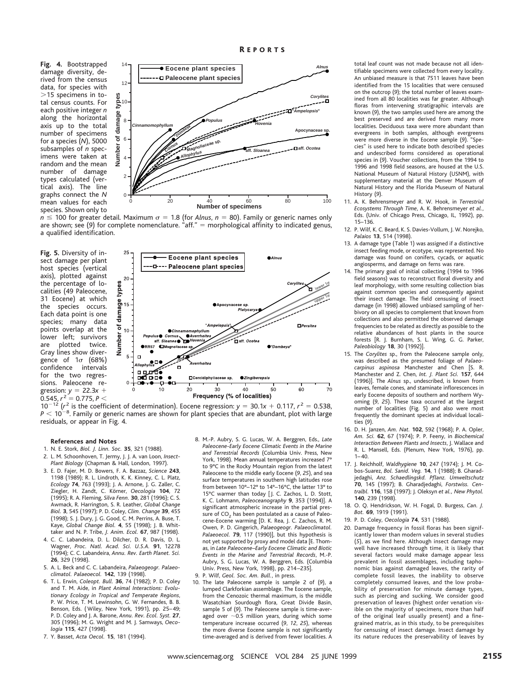**Fig. 4.** Bootstrapped damage diversity, derived from the census data, for species with  $>$ 15 specimens in total census counts. For each positive integer *n* along the horizontal axis up to the total number of specimens for a species (*N*), 5000 subsamples of *n* specimens were taken at random and the mean number of damage types calculated (vertical axis). The line graphs connect the *N* mean values for each species. Shown only to



 $n \leq 100$  for greater detail. Maximum  $\sigma = 1.8$  (for *Alnus*,  $n = 80$ ). Family or generic names only are shown; see (9) for complete nomenclature. "aff." = morphological affinity to indicated genus, a qualified identification.

**Fig. 5.** Diversity of insect damage per plant host species (vertical axis), plotted against the percentage of localities (49 Paleocene, 31 Eocene) at which the species occurs. Each data point is one species; many data points overlap at the lower left; survivors are plotted twice. Gray lines show divergence of  $1\sigma$  (68%) confidence intervals for the two regressions. Paleocene regression:  $y = 22.3x +$  $0.545$ ,  $r^2 = 0.775$ ,  $P <$ 



 $10^{-12}$  ( $r^2$  is the coefficient of determination). Eocene regression:  $y = 30.1x + 0.117$ ,  $r^2 = 0.538$ ,  $P < 10^{-8}$ . Family or generic names are shown for plant species that are abundant, plot with large residuals, or appear in Fig. 4.

#### **References and Notes**

- 1. N. E. Stork, *Biol. J. Linn. Soc.* **35**, 321 (1988).
- 2. L. M. Schoonhoven, T. Jermy, J. J. A. van Loon, *Insect-Plant Biology* (Chapman & Hall, London, 1997).
- 3. E. D. Fajer, M. D. Bowers, F. A. Bazzaz, *Science* **243**, 1198 (1989); R. L. Lindroth, K. K. Kinney, C. L. Platz, *Ecology* **74**, 763 (1993); J. A. Arnone, J. G. Zaller, C. Ziegler, H. Zandt, C. Ko¨rner, *Oecologia* **104**, 72 (1995); R. A. Fleming, *Silva Fenn.* **30**, 281 (1996); C. S. Awmack, R. Harrington, S. R. Leather, *Global Change Biol.* **3**, 545 (1997); P. D. Coley, *Clim. Change* **39**, 455 (1998); S. J. Dury, J. G. Good, C. M. Perrins, A. Buse, T. Kaye, *Global Change Biol.* **4**, 55 (1998); J. B. Whittaker and N. P. Tribe, *J. Anim. Ecol.* **67**, 987 (1998).
- 4. C. C. Labandeira, D. L. Dilcher, D. R. Davis, D. L. Wagner, *Proc. Natl. Acad. Sci. U.S.A.* **91**, 12278 (1994); C. C. Labandeira, *Annu. Rev. Earth Planet. Sci.* **26**, 329 (1998).
- 5. A. L. Beck and C. C. Labandeira, *Palaeogeogr. Palaeoclimatol. Palaeoecol.* **142**, 139 (1998).
- 6. T. L. Erwin, *Coleopt. Bull.* **36**, 74 (1982); P. D. Coley and T. M. Aide, in *Plant Animal Interactions: Evolutionary Ecology in Tropical and Temperate Regions*, P. W. Price, T. M. Lewinsohn, G. W. Fernandes, B. B. Benson, Eds. ( Wiley, New York, 1991), pp. 25–49; P. D. Coley and J. A. Barone, *Annu. Rev. Ecol. Syst.* **27**, 305 (1996); M. G. Wright and M. J. Samways, *Oecologia* **115**, 427 (1998).
- 7. Y. Basset, *Acta Oecol.* **15**, 181 (1994).
- 8. M.-P. Aubry, S. G. Lucas, W. A. Berggren, Eds., *Late Paleocene-Early Eocene Climatic Events in the Marine and Terrestrial Records* (Columbia Univ. Press, New York, 1998). Mean annual temperatures increased 7° to 9°C in the Rocky Mountain region from the latest Paleocene to the middle early Eocene (*9*, *25*), and sea surface temperatures in southern high latitudes rose from between 10°–12° to 14°–16°C, the latter 13° to 15°C warmer than today [J. C. Zachos, L. D. Stott, K. C. Lohmann, *Paleoceanography* **9**, 353 (1994)]. A significant atmospheric increase in the partial pressure of  $CO<sub>2</sub>$  has been postulated as a cause of Paleocene-Eocene warming [D. K. Rea, J. C. Zachos, R. M. Owen, P. D. Gingerich, *Palaeogeogr. Palaeoclimatol. Palaeoecol.* **79**, 117 (1990)], but this hypothesis is not yet supported by proxy and model data [E. Thomas, in *Late Paleocene–Early Eocene Climatic and Biotic Events in the Marine and Terrestrial Records*, M.-P. Aubry, S. G. Lucas, W. A. Berggren, Eds. (Columbia Univ. Press, New York, 1998), pp. 214–235]. 9. P. Wilf, *Geol. Soc. Am. Bull.*, in press.
- 10. The late Paleocene sample is sample 2 of (*9*), a lumped Clarkforkian assemblage. The Eocene sample, from the Cenozoic thermal maximum, is the middle Wasatchian Sourdough flora, Great Divide Basin, sample 5 of (*9*). The Paleocene sample is time-averaged over  ${\sim}$ 0.5 million years, during which some temperature increase occurred (*9*, *12*, *25*), whereas the more diverse Eocene sample is not significantly time-averaged and is derived from fewer localities. A

total leaf count was not made because not all identifiable specimens were collected from every locality. An unbiased measure is that 7511 leaves have been identified from the 15 localities that were censused on the outcrop (*9*); the total number of leaves examined from all 80 localities was far greater. Although floras from intervening stratigraphic intervals are known (*9*), the two samples used here are among the best preserved and are derived from many more localities. Deciduous taxa were more abundant than evergreens in both samples, although evergreens were more diverse in the Eocene sample (*9*). "Species" is used here to indicate both described species and undescribed forms considered as operational species in (*9*). Voucher collections, from the 1994 to 1996 and 1998 field seasons, are housed at the U.S. National Museum of Natural History (USNM), with supplementary material at the Denver Museum of Natural History and the Florida Museum of Natural History (*9*).

- 11. A. K. Behrensmeyer and R. W. Hook, in *Terrestrial Ecosystems Through Time*, A. K. Behrensmeyer *et al.*, Eds. (Univ. of Chicago Press, Chicago, IL, 1992), pp. 15–136.
- 12. P. Wilf, K. C. Beard, K. S. Davies-Vollum, J. W. Norejko, *Palaios* **13**, 514 (1998).
- 13. A damage type (Table 1) was assigned if a distinctive insect feeding mode, or ecotype, was represented. No damage was found on conifers, cycads, or aquatic angiosperms, and damage on ferns was rare.
- 14. The primary goal of initial collecting (1994 to 1996 field seasons) was to reconstruct floral diversity and leaf morphology, with some resulting collection bias against common species and consequently against their insect damage. The field censusing of insect damage (in 1998) allowed unbiased sampling of herbivory on all species to complement that known from collections and also permitted the observed damage frequencies to be related as directly as possible to the relative abundances of host plants in the source forests [R. J. Burnham, S. L. Wing, G. G. Parker, *Paleobiology* **18**, 30 (1992)].
- 15. The *Corylites* sp., from the Paleocene sample only, was described as the presumed foliage of *Palaeocarpinus aspinosa* Manchester and Chen [S. R. Manchester and Z. Chen, *Int. J. Plant Sci.* **157**, 644 (1996)]. The *Alnus* sp., undescribed, is known from leaves, female cones, and staminate inflorescences in early Eocene deposits of southern and northern Wyoming (*9*, *25*). These taxa occurred at the largest number of localities (Fig. 5) and also were most frequently the dominant species at individual localities (*9*).
- 16. D. H. Janzen, *Am. Nat.* **102**, 592 (1968); P. A. Opler, *Am. Sci.* **62**, 67 (1974); P. P. Feeny, in *Biochemical Interaction Between Plants and Insects*, J. Wallace and R. L. Mansell, Eds. (Plenum, New York, 1976), pp.  $1 - 40.$
- 17. J. Reichholf, *Waldhygiene* **10**, 247 (1974); J. M. Cobos-Suarez, *Bol. Sanid. Veg.* **14**, 1 (1988); B. Gharadjedaghi, *Anz. Schaedlingskd. Pflanz. Umweltschutz* **70**, 145 (1997); B. Gharadjedaghi, *Forstwiss. Centralbl.* **116**, 158 (1997); J. Oleksyn *et al., New Phytol.* **140**, 239 (1998).
- 18. O. Q. Hendrickson, W. H. Fogal, D. Burgess, *Can. J. Bot.* **69**, 1919 (1991).
- 19. P. D. Coley, *Oecologia* **74**, 531 (1988).
- 20. Damage frequency in fossil floras has been significantly lower than modern values in several studies (*5*), as we find here. Although insect damage may well have increased through time, it is likely that several factors would make damage appear less prevalent in fossil assemblages, including taphonomic bias against damaged leaves, the rarity of complete fossil leaves, the inability to observe completely consumed leaves, and the low probability of preservation for minute damage types, such as piercing and sucking. We consider good preservation of leaves (highest order venation visible on the majority of specimens, more than half of the original leaf usually present) and a finegrained matrix, as in this study, to be prerequisites for censusing of insect damage. Insect damage by its nature reduces the preservability of leaves by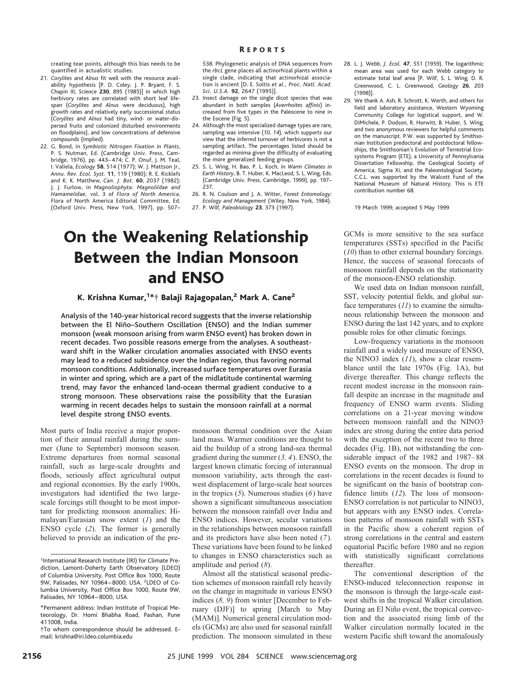### R EPORTS

creating tear points, although this bias needs to be quantified in actualistic studies.

- 21. *Corylites* and *Alnus* fit well with the resource availability hypothesis [P. D. Coley, J. P. Bryant, F. S. Chapin III, *Science* **230**, 895 (1985)] in which high herbivory rates are correlated with short leaf lifespan (*Corylites* and *Alnus* were deciduous), high growth rates and relatively early successional status (*Corylites* and *Alnus* had tiny, wind- or water-dispersed fruits and colonized disturbed environments on floodplains), and low concentrations of defensive compounds (implied).
- 22. G. Bond, in *Symbiotic Nitrogen Fixation in Plants*, P. S. Nutman, Ed. (Cambridge Univ. Press, Cambridge, 1976), pp. 443–474; C. P. Onuf, J. M. Teal, I. Valiela, *Ecology* **58**, 514 (1977); W. J. Mattson Jr., *Annu. Rev. Ecol. Syst.* **11**, 119 (1980); R. E. Ricklefs and K. K. Matthew, *Can. J. Bot.* **60**, 2037 (1982); J. J. Furlow, in *Magnoliophyta: Magnoliidae and Hamamelidae,* vol. 3 of *Flora of North America*, Flora of North America Editorial Committee, Ed. (Oxford Univ. Press, New York, 1997), pp. 507–

538. Phylogenetic analysis of DNA sequences from the *rbcL* gene places all actinorhizal plants within a single clade, indicating that actinorhizal association is ancient [D. E. Soltis *et al., Proc. Natl. Acad. Sci. U.S.A.* **92**, 2647 (1995)].

- 23. Insect damage on the single dicot species that was abundant in both samples (*Averrhoites affinis*) increased from five types in the Paleocene to nine in the Eocene (Fig. 5).
- 24. Although the most specialized damage types are rare, sampling was intensive (*10*, *14*), which supports our view that the inferred turnover of herbivores is not a sampling artifact. The percentages listed should be regarded as minima given the difficulty of evaluating the more generalized feeding groups.
- 25. S. L. Wing, H. Bao, P. L. Koch, in *Warm Climates in Earth History*, B. T. Huber, K. MacLeod, S. L. Wing, Eds. (Cambridge Univ. Press, Cambridge, 1999), pp. 197– 237.
- 26. R. N. Coulson and J. A. Witter, *Forest Entomology: Ecology and Management* (Wiley, New York, 1984).
- 27. P. Wilf, *Paleobiology* **23**, 373 (1997).

# On the Weakening Relationship Between the Indian Monsoon and ENSO

## K. Krishna Kumar, $^{1*+}$  Balaji Rajagopalan, $^{\mathsf{2}}$  Mark A. Cane $^{\mathsf{2}}$

Analysis of the 140-year historical record suggests that the inverse relationship between the El Niño–Southern Oscillation (ENSO) and the Indian summer monsoon (weak monsoon arising from warm ENSO event) has broken down in recent decades. Two possible reasons emerge from the analyses. A southeastward shift in the Walker circulation anomalies associated with ENSO events may lead to a reduced subsidence over the Indian region, thus favoring normal monsoon conditions. Additionally, increased surface temperatures over Eurasia in winter and spring, which are a part of the midlatitude continental warming trend, may favor the enhanced land-ocean thermal gradient conducive to a strong monsoon. These observations raise the possibility that the Eurasian warming in recent decades helps to sustain the monsoon rainfall at a normal level despite strong ENSO events.

Most parts of India receive a major proportion of their annual rainfall during the summer (June to September) monsoon season. Extreme departures from normal seasonal rainfall, such as large-scale droughts and floods, seriously affect agricultural output and regional economies. By the early 1900s, investigators had identified the two largescale forcings still thought to be most important for predicting monsoon anomalies: Himalayan/Eurasian snow extent (*1*) and the ENSO cycle (*2*). The former is generally believed to provide an indication of the pre-

monsoon thermal condition over the Asian land mass. Warmer conditions are thought to aid the buildup of a strong land-sea thermal gradient during the summer (*3, 4*). ENSO, the largest known climatic forcing of interannual monsoon variability, acts through the eastwest displacement of large-scale heat sources in the tropics (*5*). Numerous studies (*6*) have shown a significant simultaneous association between the monsoon rainfall over India and ENSO indices. However, secular variations in the relationships between monsoon rainfall and its predictors have also been noted (*7*). These variations have been found to be linked to changes in ENSO characteristics such as amplitude and period (*8*).

Almost all the statistical seasonal prediction schemes of monsoon rainfall rely heavily on the change in magnitude in various ENSO indices (*8, 9*) from winter [December to February (DJF)] to spring [March to May (MAM)]. Numerical general circulation models (GCMs) are also used for seasonal rainfall prediction. The monsoon simulated in these

- 28. L. J. Webb, *J. Ecol.* **47**, 551 (1959). The logarithmic mean area was used for each Webb category to estimate total leaf area [P. Wilf, S. L. Wing, D. R. Greenwood, C. L. Greenwood, *Geology* **26**, 203 (1998)].
- 29. We thank A. Ash, R. Schrott, K. Werth, and others for field and laboratory assistance, Western Wyoming Community College for logistical support, and W. DiMichele, P. Dodson, R. Horwitt, B. Huber, S. Wing, and two anonymous reviewers for helpful comments on the manuscript. P.W. was supported by Smithsonian Institution predoctoral and postdoctoral fellowships, the Smithsonian's Evolution of Terrestrial Ecosystems Program (ETE), a University of Pennsylvania Dissertation Fellowship, the Geological Society of America, Sigma Xi, and the Paleontological Society. C.C.L. was supported by the Walcott Fund of the National Museum of Natural History. This is ETE contribution number 68.

19 March 1999; accepted 5 May 1999

GCMs is more sensitive to the sea surface temperatures (SSTs) specified in the Pacific (*10*) than to other external boundary forcings. Hence, the success of seasonal forecasts of monsoon rainfall depends on the stationarity of the monsoon-ENSO relationship.

We used data on Indian monsoon rainfall, SST, velocity potential fields, and global surface temperatures (*11*) to examine the simultaneous relationship between the monsoon and ENSO during the last 142 years, and to explore possible roles for other climatic forcings.

Low-frequency variations in the monsoon rainfall and a widely used measure of ENSO, the NINO3 index (*11*), show a clear resemblance until the late 1970s (Fig. 1A), but diverge thereafter. This change reflects the recent modest increase in the monsoon rainfall despite an increase in the magnitude and frequency of ENSO warm events. Sliding correlations on a 21-year moving window between monsoon rainfall and the NINO3 index are strong during the entire data period with the exception of the recent two to three decades (Fig. 1B), not withstanding the considerable impact of the 1982 and 1987–88 ENSO events on the monsoon. The drop in correlations in the recent decades is found to be significant on the basis of bootstrap confidence limits (*12*). The loss of monsoon-ENSO correlation is not particular to NINO3, but appears with any ENSO index. Correlation patterns of monsoon rainfall with SSTs in the Pacific show a coherent region of strong correlations in the central and eastern equatorial Pacific before 1980 and no region with statistically significant correlations thereafter.

The conventional description of the ENSO-induced teleconnection response in the monsoon is through the large-scale eastwest shifts in the tropical Walker circulation. During an El Niño event, the tropical convection and the associated rising limb of the Walker circulation normally located in the western Pacific shift toward the anomalously

<sup>&</sup>lt;sup>1</sup>International Research Institute (IRI) for Climate Prediction, Lamont-Doherty Earth Observatory (LDEO) of Columbia University, Post Office Box 1000, Route 9W, Palisades, NY 10964-8000, USA. <sup>2</sup>LDEO of Columbia University, Post Office Box 1000, Route 9W, Palisades, NY 10964–8000, USA.

<sup>\*</sup>Permanent address: Indian Institute of Tropical Meteorology, Dr. Homi Bhabha Road, Pashan, Pune 411008, India.

<sup>†</sup>To whom correspondence should be addressed. Email: krishna@iri.ldeo.columbia.edu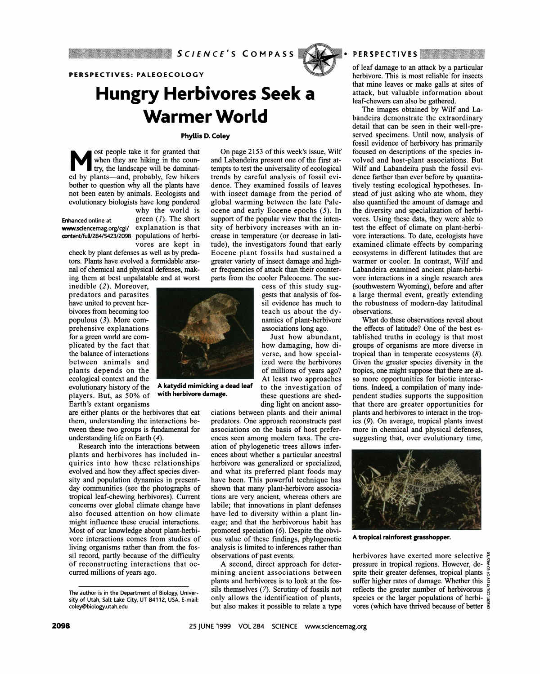

### **PERSPECTIVES: PALEOECOLOGY**

# **Hungry Herbivores Seek <sup>a</sup> Warmer World**

### **Phyllis D. Coley**

**<sup>M</sup>ost people take it for granted that when they are hiking in the country, the landscape will be dominated by plants-and, probably, few hikers bother to question why all the plants have not been eaten by animals. Ecologists and evolutionary biologists have long pondered** 

**Enhanced online at** 

**why the world is green (1). The short explanation is that www.sciencemag.org/cgi/ populations of herbi-content/fuUV284/5423/2098 vores are kept in** 

**check by plant defenses as well as by predators. Plants have evolved a formidable arsenal of chemical and physical defenses, making them at best unpalatable and at worst** 

**inedible (2). Moreover, predators and parasites have united to prevent herbivores from becoming too populous (3). More comprehensive explanations for a green world are complicated by the fact that the balance of interactions between animals and plants depends on the ecological context and the evolutionary history of the players. But, as 50% of Earth's extant organisms** 

**are either plants or the herbivores that eat them, understanding the interactions between these two groups is fundamental for understanding life on Earth (4).** 

**Research into the interactions between plants and herbivores has included inquiries into how these relationships evolved and how they affect species diversity and population dynamics in presentday communities (see the photographs of tropical leaf-chewing herbivores). Current concerns over global climate change have also focused attention on how climate might influence these crucial interactions. Most of our knowledge about plant-herbivore interactions comes from studies of living organisms rather than from the fossil record, partly because of the difficulty of reconstructing interactions that occurred millions of years ago.** 

**On page 2153 of this week's issue, Wilf and Labandeira present one of the first attempts to test the universality of ecological trends by careful analysis of fossil evidence. They examined fossils of leaves with insect damage from the period of global warming between the late Paleocene and early Eocene epochs (5). In support of the popular view that the intensity of herbivory increases with an increase in temperature (or decrease in latitude), the investigators found that early Eocene plant fossils had sustained a greater variety of insect damage and higher frequencies of attack than their counterparts from the cooler Paleocene. The suc-**

**cess of this study suggests that analysis of fossil evidence has much to teach us about the dynamics of plant-herbivore associations long ago.** 

**Just how abundant, how damaging, how diverse, and how specialized were the herbivores of millions of years ago? At least two approaches to the investigation of these questions are shedding light on ancient asso-**

**ciations between plants and their animal predators. One approach reconstructs past associations on the basis of host preferences seen among modern taxa. The creation of phylogenetic trees allows inferences about whether a particular ancestral herbivore was generalized or specialized, and what its preferred plant foods may have been. This powerful technique has shown that many plant-herbivore associations are very ancient, whereas others are labile; that innovations in plant defenses have led to diversity within a plant lineage; and that the herbivorous habit has promoted speciation (6). Despite the obvious value of these findings, phylogenetic analysis is limited to inferences rather than observations of past events.** 

**A second, direct approach for determining ancient associations between plants and herbivores is to look at the fossils themselves (7). Scrutiny of fossils not only allows the identification of plants, but also makes it possible to relate a type** 



**The images obtained by Wilf and Labandeira demonstrate the extraordinary detail that can be seen in their well-preserved specimens. Until now, analysis of fossil evidence of herbivory has primarily focused on descriptions of the species involved and host-plant associations. But Wilf and Labandeira push the fossil evidence farther than ever before by quantitatively testing ecological hypotheses. Instead of just asking who ate whom, they also quantified the amount of damage and the diversity and specialization of herbivores. Using these data, they were able to test the effect of climate on plant-herbivore interactions. To date, ecologists have examined climate effects by comparing ecosystems in different latitudes that are warmer or cooler. In contrast, Wilf and Labandeira examined ancient plant-herbivore interactions in a single research area (southwestern Wyoming), before and after a large thermal event, greatly extending the robustness of modern-day latitudinal observations.** 

**What do these observations reveal about the effects of latitude? One of the best established truths in ecology is that most groups of organisms are more diverse in tropical than in temperate ecosystems (8). Given the greater species diversity in the tropics, one might suppose that there are also more opportunities for biotic interactions. Indeed, a compilation of many independent studies supports the supposition that there are greater opportunities for plants and herbivores to interact in the tropics (9). On average, tropical plants invest more in chemical and physical-defenses, suggesting that, over evolutionary time,** 



**A tropical rainforest grasshopper.** 

**herbivores have exerted more selective pressure in tropical regions. However, de-3.**  spite their greater defenses, tropical plants  $\frac{a}{b}$ **suffer higher rates of damage. Whether this** reflects the greater number of herbivorous  $\frac{5}{8}$ **species or the larger populations of herbib** species or the larger populations of heroi-**'A** 



**A katydid mimicking a dead leaf with herbivore damage.** 

**The author is in the Department of Biology, University of Utah, Salt Lake City, UT 84112, USA. E-mail: coley@biology.utah.edu**